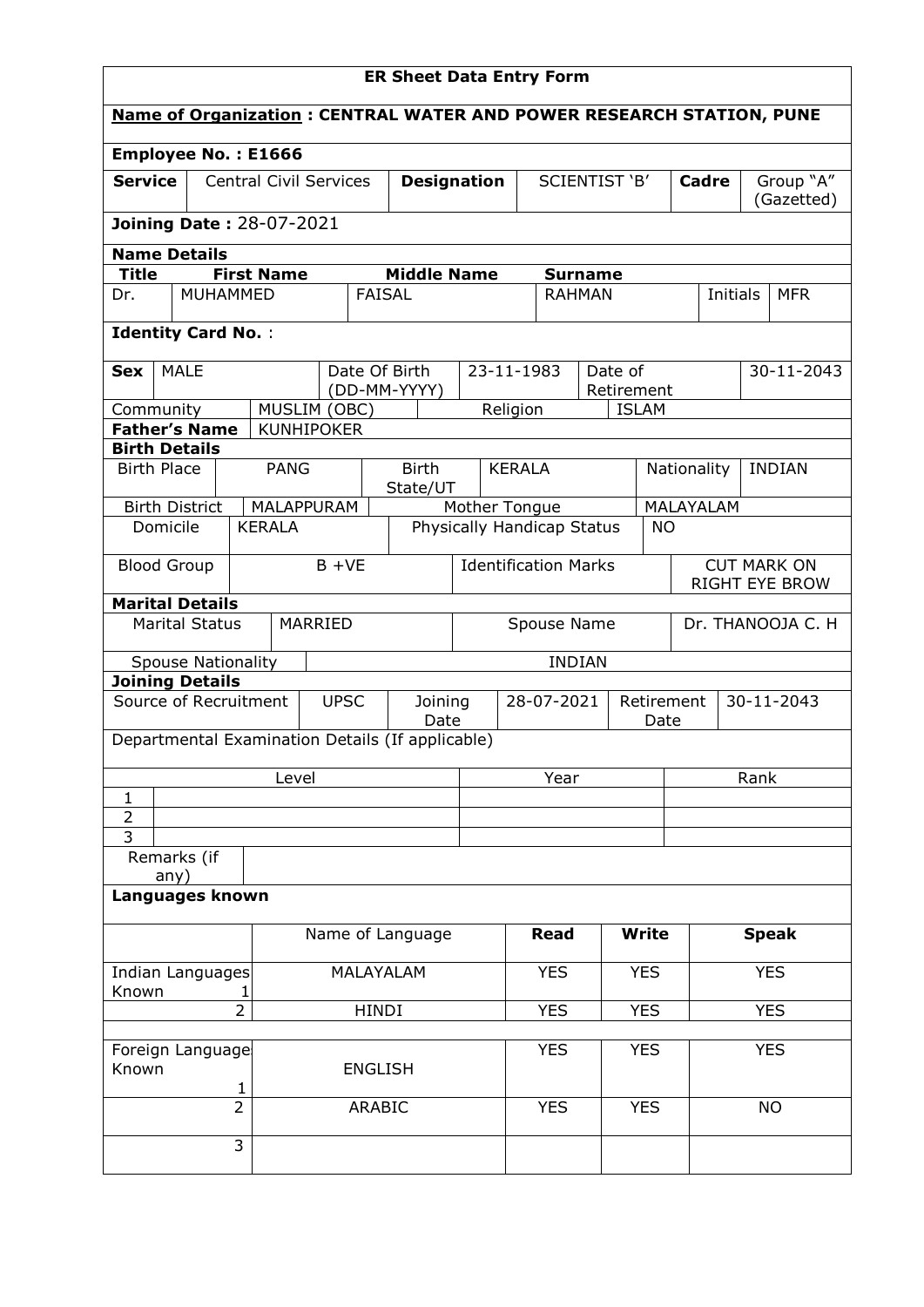| <b>Name of Organization: CENTRAL WATER AND POWER RESEARCH STATION, PUNE</b><br>Employee No.: E1666<br><b>Service</b><br><b>Central Civil Services</b><br><b>SCIENTIST 'B'</b><br>Group "A"<br><b>Designation</b><br>Cadre<br>(Gazetted) |                                      |  |  |  |  |  |  |  |  |  |
|-----------------------------------------------------------------------------------------------------------------------------------------------------------------------------------------------------------------------------------------|--------------------------------------|--|--|--|--|--|--|--|--|--|
|                                                                                                                                                                                                                                         |                                      |  |  |  |  |  |  |  |  |  |
|                                                                                                                                                                                                                                         |                                      |  |  |  |  |  |  |  |  |  |
|                                                                                                                                                                                                                                         |                                      |  |  |  |  |  |  |  |  |  |
| <b>Joining Date: 28-07-2021</b>                                                                                                                                                                                                         |                                      |  |  |  |  |  |  |  |  |  |
| <b>Name Details</b>                                                                                                                                                                                                                     |                                      |  |  |  |  |  |  |  |  |  |
| <b>Title</b><br><b>First Name</b><br><b>Middle Name</b><br><b>Surname</b>                                                                                                                                                               |                                      |  |  |  |  |  |  |  |  |  |
| <b>MUHAMMED</b><br><b>FAISAL</b><br><b>RAHMAN</b><br>Initials<br><b>MFR</b><br>Dr.                                                                                                                                                      |                                      |  |  |  |  |  |  |  |  |  |
| <b>Identity Card No.:</b>                                                                                                                                                                                                               |                                      |  |  |  |  |  |  |  |  |  |
| <b>MALE</b><br>Date Of Birth<br>23-11-1983<br>Date of<br>30-11-2043<br>Sex<br>(DD-MM-YYYY)<br>Retirement                                                                                                                                |                                      |  |  |  |  |  |  |  |  |  |
| MUSLIM (OBC)<br>Religion<br><b>ISLAM</b><br>Community                                                                                                                                                                                   |                                      |  |  |  |  |  |  |  |  |  |
| <b>Father's Name</b><br><b>KUNHIPOKER</b>                                                                                                                                                                                               |                                      |  |  |  |  |  |  |  |  |  |
| <b>Birth Details</b>                                                                                                                                                                                                                    |                                      |  |  |  |  |  |  |  |  |  |
| <b>Birth</b><br><b>PANG</b><br><b>INDIAN</b><br><b>Birth Place</b><br><b>KERALA</b><br>Nationality<br>State/UT                                                                                                                          |                                      |  |  |  |  |  |  |  |  |  |
| MALAPPURAM<br>MALAYALAM<br><b>Birth District</b><br>Mother Tongue                                                                                                                                                                       |                                      |  |  |  |  |  |  |  |  |  |
| Physically Handicap Status<br>Domicile<br><b>KERALA</b><br><b>NO</b>                                                                                                                                                                    |                                      |  |  |  |  |  |  |  |  |  |
| $B + VE$<br><b>Identification Marks</b><br><b>Blood Group</b>                                                                                                                                                                           | <b>CUT MARK ON</b><br>RIGHT EYE BROW |  |  |  |  |  |  |  |  |  |
| <b>Marital Details</b>                                                                                                                                                                                                                  |                                      |  |  |  |  |  |  |  |  |  |
| <b>Marital Status</b><br>MARRIED<br>Dr. THANOOJA C. H<br>Spouse Name                                                                                                                                                                    |                                      |  |  |  |  |  |  |  |  |  |
| <b>INDIAN</b><br><b>Spouse Nationality</b>                                                                                                                                                                                              |                                      |  |  |  |  |  |  |  |  |  |
| <b>Joining Details</b>                                                                                                                                                                                                                  |                                      |  |  |  |  |  |  |  |  |  |
| Source of Recruitment<br><b>UPSC</b><br>28-07-2021<br>30-11-2043<br>Joining<br>Retirement<br>Date<br>Date                                                                                                                               |                                      |  |  |  |  |  |  |  |  |  |
| Departmental Examination Details (If applicable)                                                                                                                                                                                        |                                      |  |  |  |  |  |  |  |  |  |
| Year<br>Rank<br>Level                                                                                                                                                                                                                   |                                      |  |  |  |  |  |  |  |  |  |
| 1<br>$\overline{2}$                                                                                                                                                                                                                     |                                      |  |  |  |  |  |  |  |  |  |
| 3                                                                                                                                                                                                                                       |                                      |  |  |  |  |  |  |  |  |  |
| Remarks (if<br>any)                                                                                                                                                                                                                     |                                      |  |  |  |  |  |  |  |  |  |
| Languages known                                                                                                                                                                                                                         |                                      |  |  |  |  |  |  |  |  |  |
| <b>Read</b><br><b>Write</b><br>Name of Language<br><b>Speak</b>                                                                                                                                                                         |                                      |  |  |  |  |  |  |  |  |  |
| MALAYALAM<br><b>YES</b><br><b>YES</b><br><b>YES</b><br>Indian Languages<br>Known<br>ı                                                                                                                                                   |                                      |  |  |  |  |  |  |  |  |  |
| $\overline{2}$<br><b>YES</b><br><b>YES</b><br><b>YES</b><br>HINDI                                                                                                                                                                       |                                      |  |  |  |  |  |  |  |  |  |
|                                                                                                                                                                                                                                         |                                      |  |  |  |  |  |  |  |  |  |
| <b>YES</b><br><b>YES</b><br><b>YES</b><br>Foreign Language<br>Known<br><b>ENGLISH</b>                                                                                                                                                   |                                      |  |  |  |  |  |  |  |  |  |
| 1<br>$\overline{2}$<br><b>YES</b><br><b>YES</b><br>ARABIC<br><b>NO</b>                                                                                                                                                                  |                                      |  |  |  |  |  |  |  |  |  |
| 3                                                                                                                                                                                                                                       |                                      |  |  |  |  |  |  |  |  |  |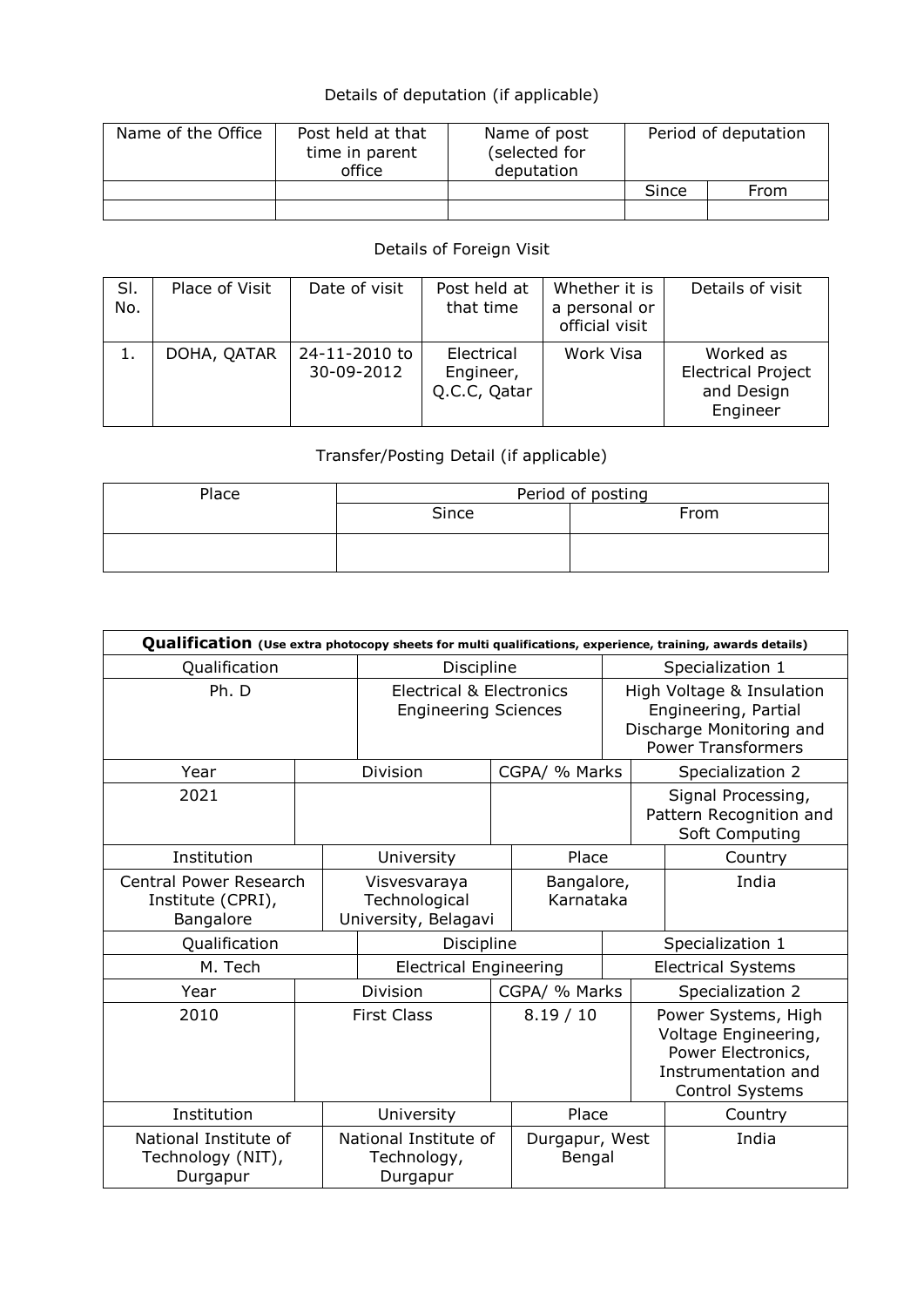# Details of deputation (if applicable)

| Name of the Office | Post held at that<br>time in parent<br>office | Name of post<br>(selected for<br>deputation |       | Period of deputation |
|--------------------|-----------------------------------------------|---------------------------------------------|-------|----------------------|
|                    |                                               |                                             | Since | From                 |
|                    |                                               |                                             |       |                      |

# Details of Foreign Visit

| SI.<br>No. | Place of Visit | Date of visit               | Post held at<br>that time               | Whether it is<br>a personal or<br>official visit | Details of visit                                                 |
|------------|----------------|-----------------------------|-----------------------------------------|--------------------------------------------------|------------------------------------------------------------------|
| 1.         | DOHA, QATAR    | 24-11-2010 to<br>30-09-2012 | Electrical<br>Engineer,<br>Q.C.C, Qatar | Work Visa                                        | Worked as<br><b>Electrical Project</b><br>and Design<br>Engineer |

# Transfer/Posting Detail (if applicable)

| Place | Period of posting |  |  |  |  |  |  |  |
|-------|-------------------|--|--|--|--|--|--|--|
|       | Since<br>From     |  |  |  |  |  |  |  |
|       |                   |  |  |  |  |  |  |  |

| Qualification (Use extra photocopy sheets for multi qualifications, experience, training, awards details) |                                                                    |                                                       |               |                                                                                                            |                  |                                                                                                                    |  |  |  |  |
|-----------------------------------------------------------------------------------------------------------|--------------------------------------------------------------------|-------------------------------------------------------|---------------|------------------------------------------------------------------------------------------------------------|------------------|--------------------------------------------------------------------------------------------------------------------|--|--|--|--|
| Qualification                                                                                             |                                                                    | Discipline                                            |               |                                                                                                            | Specialization 1 |                                                                                                                    |  |  |  |  |
| Ph. D                                                                                                     | <b>Electrical &amp; Electronics</b><br><b>Engineering Sciences</b> |                                                       |               | High Voltage & Insulation<br>Engineering, Partial<br>Discharge Monitoring and<br><b>Power Transformers</b> |                  |                                                                                                                    |  |  |  |  |
| Year                                                                                                      |                                                                    | <b>Division</b>                                       | CGPA/ % Marks |                                                                                                            |                  | Specialization 2                                                                                                   |  |  |  |  |
| 2021                                                                                                      |                                                                    |                                                       |               |                                                                                                            |                  | Signal Processing,<br>Pattern Recognition and<br>Soft Computing                                                    |  |  |  |  |
| Institution                                                                                               |                                                                    | University                                            |               | Place                                                                                                      |                  | Country                                                                                                            |  |  |  |  |
| Central Power Research<br>Institute (CPRI),<br>Bangalore                                                  |                                                                    | Visvesvaraya<br>Technological<br>University, Belagavi |               | Bangalore,<br>Karnataka                                                                                    |                  | India                                                                                                              |  |  |  |  |
| Qualification                                                                                             |                                                                    | Discipline                                            |               |                                                                                                            | Specialization 1 |                                                                                                                    |  |  |  |  |
| M. Tech                                                                                                   |                                                                    | <b>Electrical Engineering</b>                         |               | <b>Electrical Systems</b>                                                                                  |                  |                                                                                                                    |  |  |  |  |
| Year                                                                                                      |                                                                    | <b>Division</b>                                       | CGPA/ % Marks |                                                                                                            |                  | Specialization 2                                                                                                   |  |  |  |  |
| 2010                                                                                                      | <b>First Class</b>                                                 |                                                       | 8.19 / 10     |                                                                                                            |                  | Power Systems, High<br>Voltage Engineering,<br>Power Electronics,<br>Instrumentation and<br><b>Control Systems</b> |  |  |  |  |
| Institution                                                                                               |                                                                    | University                                            | Place         |                                                                                                            |                  | Country                                                                                                            |  |  |  |  |
| National Institute of<br>Technology (NIT),<br>Durgapur                                                    |                                                                    | National Institute of<br>Technology,<br>Durgapur      |               | Durgapur, West<br>Bengal                                                                                   |                  | India                                                                                                              |  |  |  |  |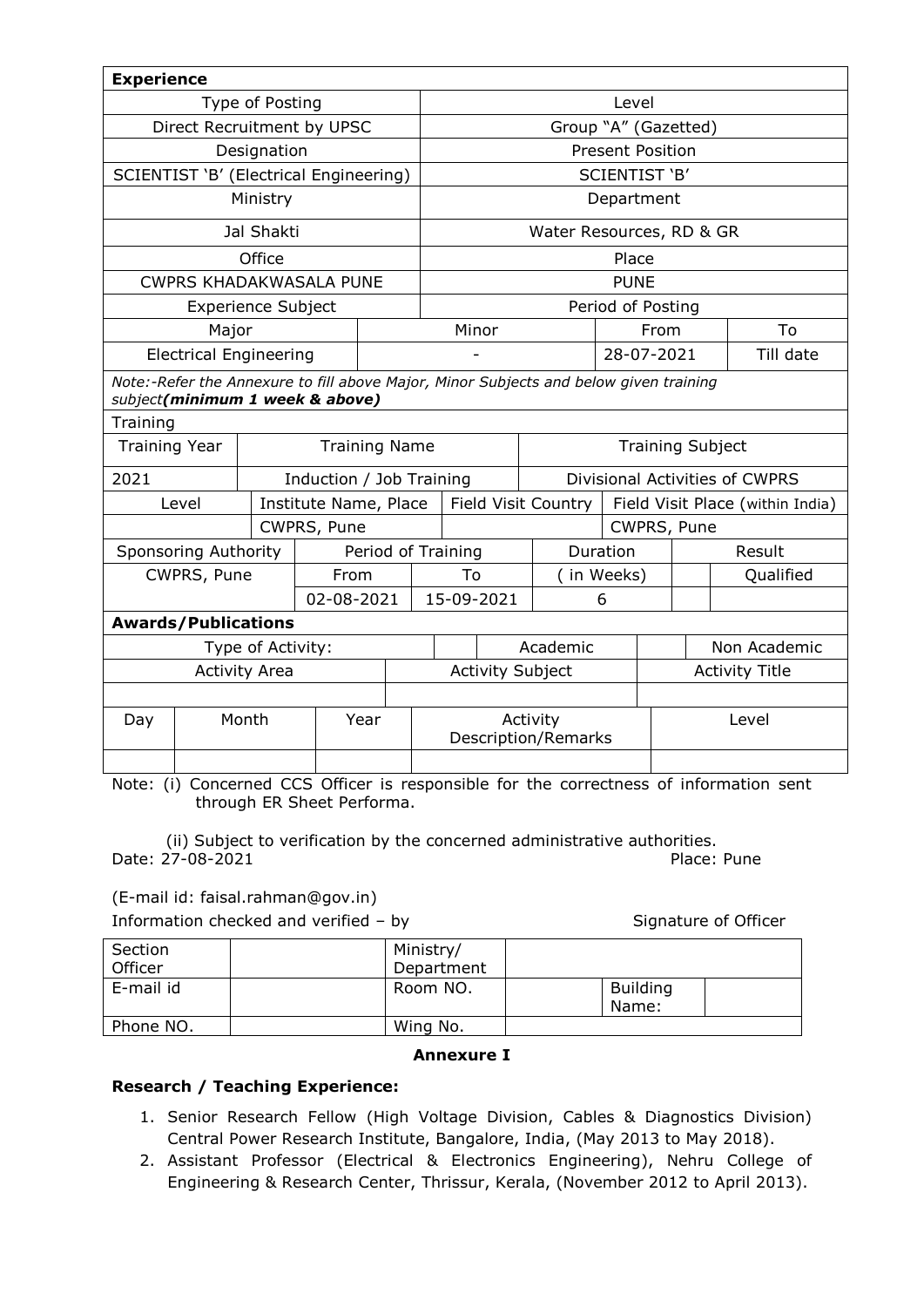| <b>Experience</b>                                                                                                        |                                        |                           |                          |                         |                         |                                        |                       |                            |                   |                                  |              |           |
|--------------------------------------------------------------------------------------------------------------------------|----------------------------------------|---------------------------|--------------------------|-------------------------|-------------------------|----------------------------------------|-----------------------|----------------------------|-------------------|----------------------------------|--------------|-----------|
| Type of Posting                                                                                                          |                                        |                           |                          |                         | Level                   |                                        |                       |                            |                   |                                  |              |           |
| Direct Recruitment by UPSC                                                                                               |                                        |                           |                          | Group "A" (Gazetted)    |                         |                                        |                       |                            |                   |                                  |              |           |
|                                                                                                                          |                                        | Designation               |                          |                         |                         | <b>Present Position</b>                |                       |                            |                   |                                  |              |           |
|                                                                                                                          | SCIENTIST 'B' (Electrical Engineering) |                           |                          |                         |                         | <b>SCIENTIST 'B'</b>                   |                       |                            |                   |                                  |              |           |
|                                                                                                                          |                                        | Ministry                  |                          |                         |                         |                                        |                       |                            | Department        |                                  |              |           |
|                                                                                                                          |                                        | Jal Shakti                |                          |                         |                         |                                        |                       | Water Resources, RD & GR   |                   |                                  |              |           |
|                                                                                                                          |                                        | Office                    |                          |                         |                         |                                        |                       |                            | Place             |                                  |              |           |
|                                                                                                                          | <b>CWPRS KHADAKWASALA PUNE</b>         |                           |                          |                         |                         |                                        |                       |                            | <b>PUNE</b>       |                                  |              |           |
|                                                                                                                          |                                        | <b>Experience Subject</b> |                          |                         |                         |                                        |                       |                            | Period of Posting |                                  |              |           |
|                                                                                                                          | Major                                  |                           |                          |                         |                         | Minor                                  |                       |                            |                   | From                             |              | To        |
|                                                                                                                          | <b>Electrical Engineering</b>          |                           |                          |                         |                         |                                        |                       |                            | 28-07-2021        |                                  |              | Till date |
| Note:-Refer the Annexure to fill above Major, Minor Subjects and below given training<br>subject(minimum 1 week & above) |                                        |                           |                          |                         |                         |                                        |                       |                            |                   |                                  |              |           |
| Training                                                                                                                 |                                        |                           |                          |                         |                         |                                        |                       |                            |                   |                                  |              |           |
| <b>Training Name</b><br><b>Training Year</b>                                                                             |                                        |                           |                          |                         | <b>Training Subject</b> |                                        |                       |                            |                   |                                  |              |           |
| 2021                                                                                                                     |                                        |                           | Induction / Job Training |                         |                         | Divisional Activities of CWPRS         |                       |                            |                   |                                  |              |           |
|                                                                                                                          | Level                                  |                           | Institute Name, Place    |                         |                         |                                        |                       | <b>Field Visit Country</b> |                   | Field Visit Place (within India) |              |           |
|                                                                                                                          |                                        |                           | CWPRS, Pune              |                         |                         | CWPRS, Pune                            |                       |                            |                   |                                  |              |           |
|                                                                                                                          | Sponsoring Authority                   |                           |                          |                         |                         | Period of Training<br>Duration         |                       |                            |                   |                                  |              | Result    |
|                                                                                                                          | CWPRS, Pune                            |                           | From                     |                         |                         | To                                     |                       |                            | (in Weeks)        |                                  |              | Qualified |
|                                                                                                                          |                                        |                           | 02-08-2021               |                         |                         | 15-09-2021                             |                       |                            | 6                 |                                  |              |           |
|                                                                                                                          | <b>Awards/Publications</b>             |                           |                          |                         |                         |                                        |                       |                            |                   |                                  |              |           |
| Type of Activity:                                                                                                        |                                        |                           |                          |                         | Academic                |                                        |                       |                            |                   |                                  | Non Academic |           |
| <b>Activity Area</b>                                                                                                     |                                        |                           |                          | <b>Activity Subject</b> |                         |                                        | <b>Activity Title</b> |                            |                   |                                  |              |           |
|                                                                                                                          |                                        |                           |                          |                         |                         |                                        |                       |                            |                   |                                  |              |           |
| Day                                                                                                                      |                                        | Month                     |                          | Year                    |                         | Activity<br><b>Description/Remarks</b> |                       |                            |                   |                                  |              | Level     |
|                                                                                                                          |                                        |                           |                          |                         |                         |                                        |                       |                            |                   |                                  |              |           |

Note: (i) Concerned CCS Officer is responsible for the correctness of information sent through ER Sheet Performa.

 (ii) Subject to verification by the concerned administrative authorities. Date: 27-08-2021 Place: Pune

(E-mail id: faisal.rahman@gov.in)

Information checked and verified – by Signature of Officer

| Section   | Ministry/  |                          |  |
|-----------|------------|--------------------------|--|
| Officer   | Department |                          |  |
| E-mail id | Room NO.   | <b>Building</b><br>Name: |  |
| Phone NO. | Wing No.   |                          |  |

#### **Annexure I**

#### **Research / Teaching Experience:**

- 1. Senior Research Fellow (High Voltage Division, Cables & Diagnostics Division) Central Power Research Institute, Bangalore, India, (May 2013 to May 2018).
- 2. Assistant Professor (Electrical & Electronics Engineering), Nehru College of Engineering & Research Center, Thrissur, Kerala, (November 2012 to April 2013).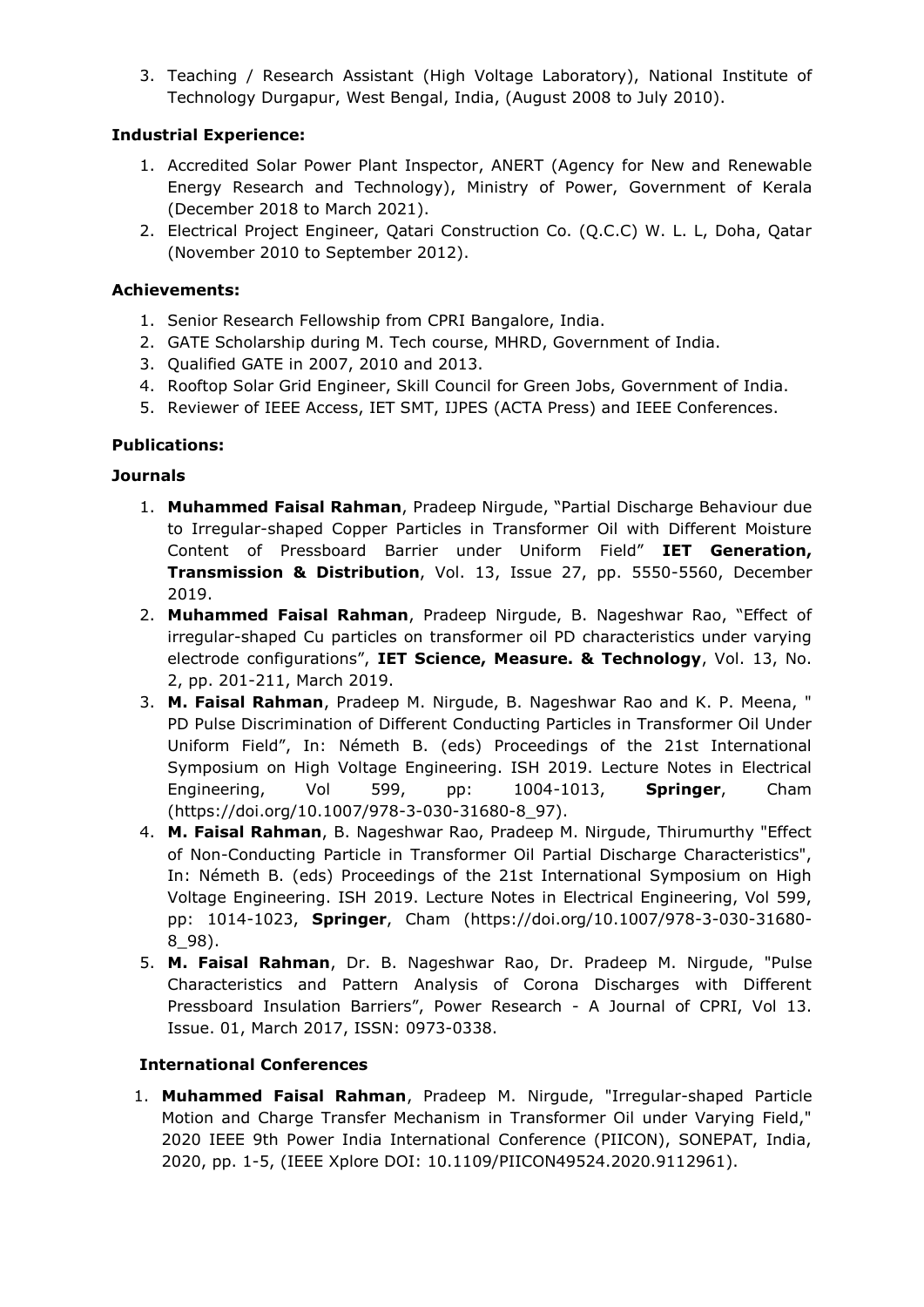3. Teaching / Research Assistant (High Voltage Laboratory), National Institute of Technology Durgapur, West Bengal, India, (August 2008 to July 2010).

## **Industrial Experience:**

- 1. Accredited Solar Power Plant Inspector, ANERT (Agency for New and Renewable Energy Research and Technology), Ministry of Power, Government of Kerala (December 2018 to March 2021).
- 2. Electrical Project Engineer, Qatari Construction Co. (Q.C.C) W. L. L, Doha, Qatar (November 2010 to September 2012).

#### **Achievements:**

- 1. Senior Research Fellowship from CPRI Bangalore, India.
- 2. GATE Scholarship during M. Tech course, MHRD, Government of India.
- 3. Qualified GATE in 2007, 2010 and 2013.
- 4. Rooftop Solar Grid Engineer, Skill Council for Green Jobs, Government of India.
- 5. Reviewer of IEEE Access, IET SMT, IJPES (ACTA Press) and IEEE Conferences.

## **Publications:**

## **Journals**

- 1. **Muhammed Faisal Rahman**, Pradeep Nirgude, "Partial Discharge Behaviour due to Irregular-shaped Copper Particles in Transformer Oil with Different Moisture Content of Pressboard Barrier under Uniform Field" **IET Generation, Transmission & Distribution**, Vol. 13, Issue 27, pp. 5550-5560, December 2019.
- 2. **Muhammed Faisal Rahman**, Pradeep Nirgude, B. Nageshwar Rao, "Effect of irregular-shaped Cu particles on transformer oil PD characteristics under varying electrode configurations", **IET Science, Measure. & Technology**, Vol. 13, No. 2, pp. 201-211, March 2019.
- 3. **M. Faisal Rahman**, Pradeep M. Nirgude, B. Nageshwar Rao and K. P. Meena, " PD Pulse Discrimination of Different Conducting Particles in Transformer Oil Under Uniform Field", In: Németh B. (eds) Proceedings of the 21st International Symposium on High Voltage Engineering. ISH 2019. Lecture Notes in Electrical Engineering, Vol 599, pp: 1004-1013, **Springer**, Cham (https://doi.org/10.1007/978-3-030-31680-8\_97).
- 4. **M. Faisal Rahman**, B. Nageshwar Rao, Pradeep M. Nirgude, Thirumurthy "Effect of Non-Conducting Particle in Transformer Oil Partial Discharge Characteristics", In: Németh B. (eds) Proceedings of the 21st International Symposium on High Voltage Engineering. ISH 2019. Lecture Notes in Electrical Engineering, Vol 599, pp: 1014-1023, **Springer**, Cham (https://doi.org/10.1007/978-3-030-31680- 8\_98).
- 5. **M. Faisal Rahman**, Dr. B. Nageshwar Rao, Dr. Pradeep M. Nirgude, "Pulse Characteristics and Pattern Analysis of Corona Discharges with Different Pressboard Insulation Barriers", Power Research - A Journal of CPRI, Vol 13. Issue. 01, March 2017, ISSN: 0973-0338.

#### **International Conferences**

1. **Muhammed Faisal Rahman**, Pradeep M. Nirgude, "Irregular-shaped Particle Motion and Charge Transfer Mechanism in Transformer Oil under Varying Field," 2020 IEEE 9th Power India International Conference (PIICON), SONEPAT, India, 2020, pp. 1-5, (IEEE Xplore DOI: 10.1109/PIICON49524.2020.9112961).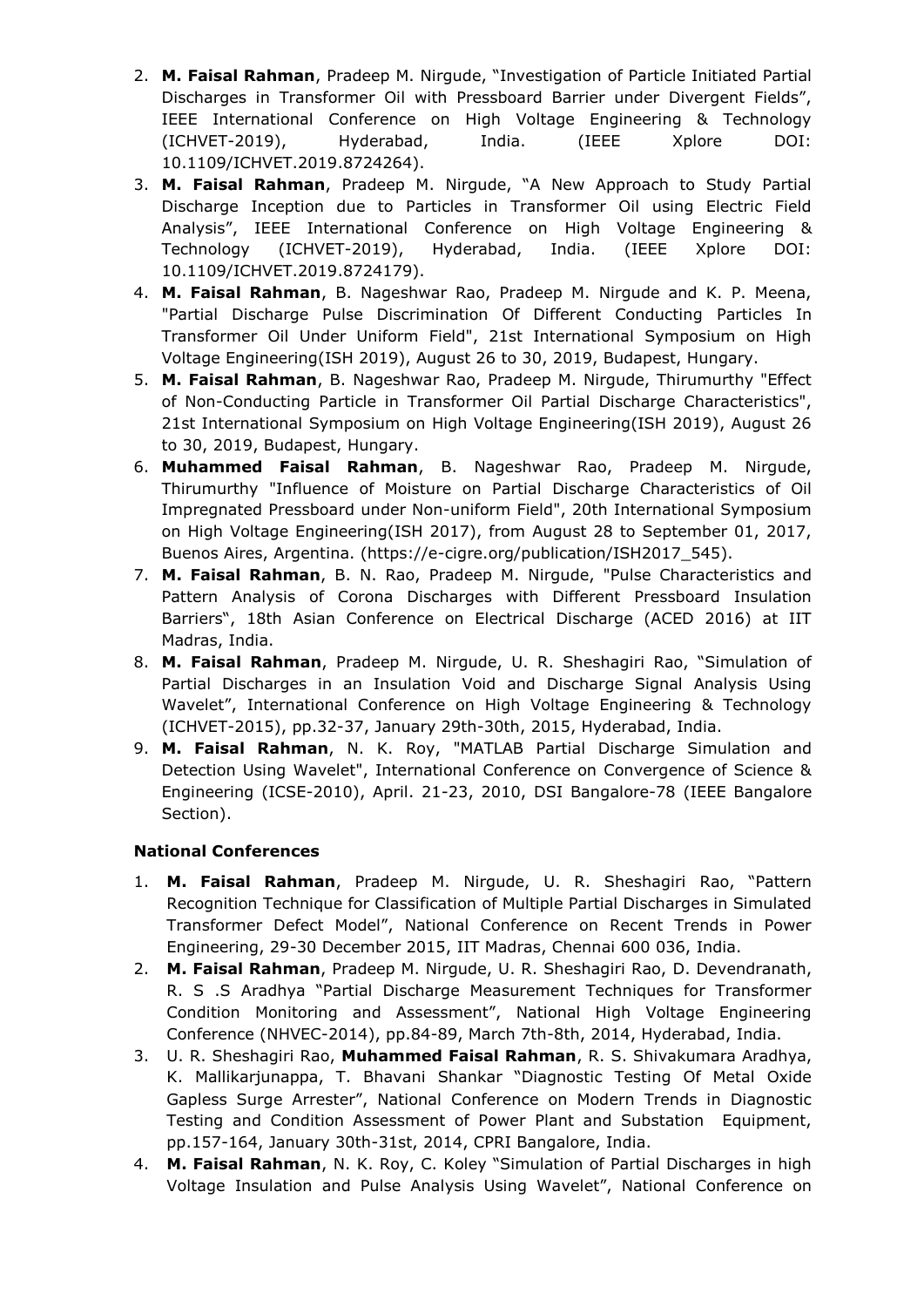- 2. **M. Faisal Rahman**, Pradeep M. Nirgude, "Investigation of Particle Initiated Partial Discharges in Transformer Oil with Pressboard Barrier under Divergent Fields", IEEE International Conference on High Voltage Engineering & Technology (ICHVET-2019), Hyderabad, India. (IEEE Xplore DOI: 10.1109/ICHVET.2019.8724264).
- 3. **M. Faisal Rahman**, Pradeep M. Nirgude, "A New Approach to Study Partial Discharge Inception due to Particles in Transformer Oil using Electric Field Analysis", IEEE International Conference on High Voltage Engineering & Technology (ICHVET-2019), Hyderabad, India. (IEEE Xplore DOI: 10.1109/ICHVET.2019.8724179).
- 4. **M. Faisal Rahman**, B. Nageshwar Rao, Pradeep M. Nirgude and K. P. Meena, "Partial Discharge Pulse Discrimination Of Different Conducting Particles In Transformer Oil Under Uniform Field", 21st International Symposium on High Voltage Engineering(ISH 2019), August 26 to 30, 2019, Budapest, Hungary.
- 5. **M. Faisal Rahman**, B. Nageshwar Rao, Pradeep M. Nirgude, Thirumurthy "Effect of Non-Conducting Particle in Transformer Oil Partial Discharge Characteristics", 21st International Symposium on High Voltage Engineering(ISH 2019), August 26 to 30, 2019, Budapest, Hungary.
- 6. **Muhammed Faisal Rahman**, B. Nageshwar Rao, Pradeep M. Nirgude, Thirumurthy "Influence of Moisture on Partial Discharge Characteristics of Oil Impregnated Pressboard under Non-uniform Field", 20th International Symposium on High Voltage Engineering(ISH 2017), from August 28 to September 01, 2017, Buenos Aires, Argentina. (https://e-cigre.org/publication/ISH2017\_545).
- 7. **M. Faisal Rahman**, B. N. Rao, Pradeep M. Nirgude, "Pulse Characteristics and Pattern Analysis of Corona Discharges with Different Pressboard Insulation Barriers", 18th Asian Conference on Electrical Discharge (ACED 2016) at IIT Madras, India.
- 8. **M. Faisal Rahman**, Pradeep M. Nirgude, U. R. Sheshagiri Rao, "Simulation of Partial Discharges in an Insulation Void and Discharge Signal Analysis Using Wavelet", International Conference on High Voltage Engineering & Technology (ICHVET-2015), pp.32-37, January 29th-30th, 2015, Hyderabad, India.
- 9. **M. Faisal Rahman**, N. K. Roy, "MATLAB Partial Discharge Simulation and Detection Using Wavelet", International Conference on Convergence of Science & Engineering (ICSE-2010), April. 21-23, 2010, DSI Bangalore-78 (IEEE Bangalore Section).

#### **National Conferences**

- 1. **M. Faisal Rahman**, Pradeep M. Nirgude, U. R. Sheshagiri Rao, "Pattern Recognition Technique for Classification of Multiple Partial Discharges in Simulated Transformer Defect Model", National Conference on Recent Trends in Power Engineering, 29-30 December 2015, IIT Madras, Chennai 600 036, India.
- 2. **M. Faisal Rahman**, Pradeep M. Nirgude, U. R. Sheshagiri Rao, D. Devendranath, R. S .S Aradhya "Partial Discharge Measurement Techniques for Transformer Condition Monitoring and Assessment", National High Voltage Engineering Conference (NHVEC-2014), pp.84-89, March 7th-8th, 2014, Hyderabad, India.
- 3. U. R. Sheshagiri Rao, **Muhammed Faisal Rahman**, R. S. Shivakumara Aradhya, K. Mallikarjunappa, T. Bhavani Shankar "Diagnostic Testing Of Metal Oxide Gapless Surge Arrester", National Conference on Modern Trends in Diagnostic Testing and Condition Assessment of Power Plant and Substation Equipment, pp.157-164, January 30th-31st, 2014, CPRI Bangalore, India.
- 4. **M. Faisal Rahman**, N. K. Roy, C. Koley "Simulation of Partial Discharges in high Voltage Insulation and Pulse Analysis Using Wavelet", National Conference on